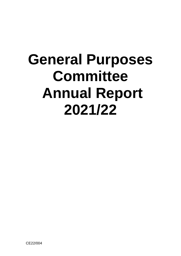# **General Purposes Committee Annual Report 2021/22**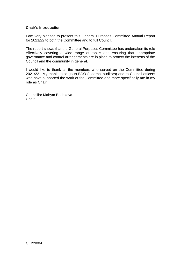## **Chair's Introduction**

I am very pleased to present this General Purposes Committee Annual Report for 2021/22 to both the Committee and to full Council.

The report shows that the General Purposes Committee has undertaken its role effectively covering a wide range of topics and ensuring that appropriate governance and control arrangements are in place to protect the interests of the Council and the community in general.

I would like to thank all the members who served on the Committee during 2021/22. My thanks also go to BDO (external auditors) and to Council officers who have supported the work of the Committee and more specifically me in my role as Chair.

Councillor Mahym Bedekova **Chair**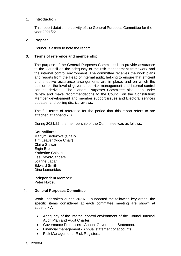#### **1. Introduction**

This report details the activity of the General Purposes Committee for the year 2021/22.

#### **2. Proposal**

Council is asked to note the report.

#### **3. Terms of reference and membership**

The purpose of the General Purposes Committee is to provide assurance to the Council on the adequacy of the risk management framework and the internal control environment. The committee receives the work plans and reports from the Head of internal audit, helping to ensure that efficient and effective assurance arrangements are in place, and on which the opinion on the level of governance, risk management and internal control can be derived. The General Purposes Committee also keep under review and make recommendations to the Council on the Constitution; Member development and member support issues and Electoral services updates, and polling district reviews.

The full terms of reference for the period that this report refers to are attached at appendix B.

During 2021/22, the membership of the Committee was as follows:

#### **Councillors:**

Mahym Bedekova (Chair) Tim Leaver (Vice Chair) Claire Stewart Ergin Erbil Katherine Chibah Lee David-Sanders Joanne Laban Edward Smith Dino Lemonides

# **Independent Member:**

Peter Nwosu

## **4. General Purposes Committee**

Work undertaken during 2021/22 supported the following key areas, the specific items considered at each committee meeting are shown at appendix A:

- Adequacy of the internal control environment of the Council Internal Audit Plan and Audit Charter.
- Governance Processes Annual Governance Statement.
- Financial management Annual statement of accounts.
- Risk Management Risk Registers.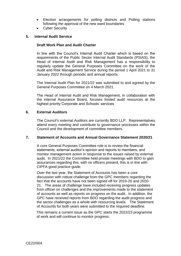- Election arrangements for polling districts and Polling stations following the approval of the new ward boundaries
- Cyber Security

## **5. Internal Audit Service**

## **Draft Work Plan and Audit Charter**

In line with the Council's Internal Audit Charter which is based on the requirements of the Public Sector Internal Audit Standards (PSIAS), the Head of Internal Audit and Risk Management has a responsibility to regularly update the General Purposes Committee on the work of the Audit and Risk Management Service during the period 1 April 2021 to 31 January 2022 through periodic and annual reports.

The Internal Audit Plan for 2021/22 was submitted to and agreed by the General Purposes Committee on 4 March 2021.

The Head of Internal Audit and Risk Management, in collaboration with the internal Assurance Board, focuses limited audit resources at the highest priority Corporate and Schools' services

#### **6. External Auditors**

The Council's external Auditors are currently BDO LLP. Representatives attend every meeting and contribute to governance processes within the Council and the development of committee members.

## **7. Statement of Accounts and Annual Governance Statement 2020/21**

A core General Purposes Committee role is to review the financial statements, external auditor's opinion and reports to members, and monitor management action in response to the issues raised by external audit. In 2021/22 the Committee held private meetings with BDO to gain assurances regarding this, with no officers present, this is in line with CIPFA good practice guide.

Over the last year, the Statement of Accounts has been a core discussion with robust challenge from the GPC members regarding the fact that the accounts have not been signed off for 2019-20 and 2020- 21. The areas of challenge have included receiving progress updates from officer on challenges and the improvements made to the statement of accounts as well as reports on progress on the audit. In addition, the GPC have received reports from BDO regarding the audit progress and the sector challenges as a whole with resourcing levels. The Statement of Accounts for both years were submitted to the required deadline.

This remains a current issue as the GPC starts the 2022/23 programme of work and will continue to monitor progress.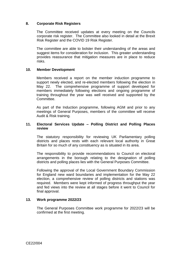#### **8. Corporate Risk Registers**

The Committee received updates at every meeting on the Councils corporate risk register. The Committee also looked in detail at the Brexit Risk Register and the COVID 19 Risk Register.

The committee are able to bolster their understanding of the areas and suggest items for consideration for inclusion. This greater understanding provides reassurance that mitigation measures are in place to reduce risks.

#### **10. Member Development**

Members received a report on the member induction programme to support newly elected, and re-elected members following the election in May 22. The comprehensive programme of support developed for members immediately following elections and ongoing programme of training throughout the year was well received and supported by the Committee.

As part of the Induction programme, following AGM and prior to any meetings of General Purposes, members of the committee will receive Audit & Risk training.

#### **11. Electoral Services Update – Polling District and Polling Places review**

The statutory responsibility for reviewing UK Parliamentary polling districts and places rests with each relevant local authority in Great Britain for so much of any constituency as is situated in its area.

The responsibility to provide recommendations to Council on electoral arrangements in the borough relating to the designation of polling districts and polling places lies with the General Purposes Committee.

Following the approval of the Local Government Boundary Commission for England new ward boundaries and implementation for the May 22 election, a comprehensive review of polling districts and stations was required. Members were kept informed of progress throughput the year and fed views into the review at all stages before it went to Council for final approval.

#### **13. Work programme 2022/23**

The General Purposes Committee work programme for 2022/23 will be confirmed at the first meeting.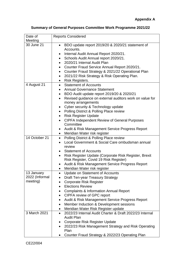|  |  |  | Summary of General Purposes Committee Work Programme 2021/22 |
|--|--|--|--------------------------------------------------------------|
|--|--|--|--------------------------------------------------------------|

| Date of        | <b>Reports Considered</b>                                                                       |
|----------------|-------------------------------------------------------------------------------------------------|
| Meeting        |                                                                                                 |
| 30 June 21     | BDO update report 2019/20 & 2020/21 statement of<br>$\bullet$<br>Accounts.                      |
|                | Internal Audit Annual Report 2020/21.<br>$\bullet$                                              |
|                | Schools Audit Annual report 2020/21.                                                            |
|                | 2020/21 Internal Audit Plan                                                                     |
|                | Counter Fraud Service Annual Report 2020/21.<br>٠                                               |
|                | Counter Fraud Strategy & 2021/22 Operational Plan                                               |
|                | 2021/22 Risk Strategy & Risk Operating Plan.<br>٠                                               |
|                | <b>Risk Registers.</b><br>٠                                                                     |
| 4 August 21    | <b>Statement of Accounts</b><br>$\bullet$                                                       |
|                | <b>Annual Governance Statement</b>                                                              |
|                | BDO Audit update report 2019/20 & 2020/21                                                       |
|                | Revised guidance on external auditors work on value for<br>$\bullet$<br>money arrangements      |
|                | Cyber security & Technology update                                                              |
|                | Polling District & Polling Place review<br>$\bullet$                                            |
|                | <b>Risk Register Update</b><br>$\bullet$                                                        |
|                | <b>CIPFA Independent Review of General Purposes</b>                                             |
|                | Committee                                                                                       |
|                | Audit & Risk Management Service Progress Report                                                 |
|                | Meridian Water risk register                                                                    |
| 14 October 21  | <b>Polling District &amp; Polling Place review</b><br>$\bullet$                                 |
|                | Local Government & Social Care ombudsman annual                                                 |
|                | review                                                                                          |
|                | <b>Statement of Accounts</b>                                                                    |
|                | Risk Register Update (Corporate Risk Register, Brexit<br>Risk Register, Covid 19 Risk Register) |
|                | Audit & Risk Management Service Progress Report                                                 |
|                | Meridian Water risk register                                                                    |
| 13 January     | Update on Statement of Accounts                                                                 |
| 2022 (Informal | <b>Draft Ten-year Treasury Strategy</b>                                                         |
| meeting)       | <b>Corporate Risk Register</b>                                                                  |
|                | <b>Elections Review</b>                                                                         |
|                | <b>Complaints &amp; Information Annual Report</b>                                               |
|                | CIPFA review of GPC report                                                                      |
|                | Audit & Risk Management Service Progress Report<br>٠                                            |
|                | Member Induction & Development sessions                                                         |
|                | Meridian Water Risk Register update                                                             |
| 3 March 2021   | 2022/23 Internal Audit Charter & Draft 2022/23 Internal<br>$\bullet$<br><b>Audit Plan</b>       |
|                | Corporate Risk Register Update                                                                  |
|                | 2022/23 Risk Management Strategy and Risk Operating<br>Plan                                     |
|                | Counter Fraud Strategy & 2022/23 Operating Plan                                                 |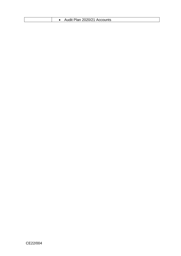| Audit Plan 2020/21 Accounts |
|-----------------------------|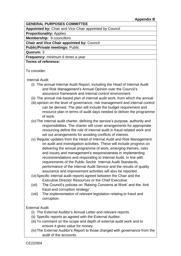## **GENERAL PURPOSES COMMITTEE**

**Appointed by:** Chair and Vice Chair appointed by Council

**Proportionality:** Applies

**Membership:** 9 councillors

## **Chair and Vice Chair appointed by:** Council

**Public/Private meetings:** Public

**Quorum:** 3

**Frequency:** minimum 6 times a year

# **Terms of reference:**

To consider:

## Internal Audit

- (i) The annual Internal Audit Report, including the Head of Internal Audit and Risk Management's Annual Opinion over the Council's assurance framework and internal control environment.
- (ii) The annual risk-based plan of internal audit work, from which the annual
- (iii) opinion on the level of governance, risk management and internal control can be derived. The plan will include the budget requirement and resource plan in terms of audit days needed to deliver the programme of work.
- (iv)The internal audit charter, defining the service's purpose, authority and responsibilities. The charter will cover arrangements for appropriate resourcing define the role of internal audit in fraud-related work and set out arrangements for avoiding conflicts of interest.
- (v) Regular updates from the Head of Internal Audit and Risk Management on audit and investigation activities. These will include progress on delivering the annual programme of work, emerging themes, risks and issues and management's responsiveness in implementing recommendations and responding to Internal Audit. In line with requirements of the Public Sector Internal Audit Standards, performance of the Internal Audit Service and the results of quality assurance and improvement activities will also be reported.
- (vi)Specific internal audit reports agreed between the Chair and the Executive Director Resources or the Chief Executive.
- (vii) The Council's policies on 'Raising Concerns at Work' and the 'Anti fraud and corruption strategy'.
- (viii) The implementation of relevant legislation relating to fraud and corruption.

# External Audit

- (i) The External Auditor's Annual Letter and relevant reports.
- (ii) Specific reports as agreed with the External Auditor.
- (iii) To comment on the scope and depth of external audit work and to ensure it gives value for money.
- (iv)The External Auditor's Report to those charged with governance from the audit of the accounts.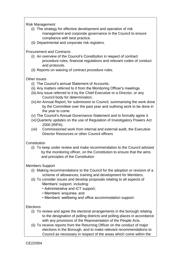Risk Management

- (i) The strategy for effective development and operation of risk management and corporate governance in the Council to ensure compliance with best practice.
- (ii) Departmental and corporate risk registers.

Procurement and Contracts

- (i) An overview of the Council's Constitution in respect of contract procedure rules, financial regulations and relevant codes of conduct and protocols.
- (ii) Reports on waiving of contract procedure rules.

# Other issues

- (i) The Council's annual Statement of Accounts.
- (ii) Any matters referred to it from the Monitoring Officer's meetings.
- (iii) Any issue referred to it by the Chief Executive or a Director, or any Council body for determination.
- (iv)An Annual Report, for submission to Council, summarising the work done by the Committee over the past year and outlining work to be done in the year to come.
- (v) The Council's Annual Governance Statement and to formally agree it.
- (vi)Quarterly updates on the use of Regulation of Investigatory Powers Act 2000 (RIPA).
- (vii) Commissioned work from internal and external audit, the Executive Director Resources or other Council officers

# **Constitution**

(i) To keep under review and make recommendation to the Council advised by the monitoring officer, on the Constitution to ensure that the aims and principles of the Constitution

# Members Support

- (i) Making recommendations to the Council for the adoption or revision of a scheme of allowances, training and development for Members.
- (ii) To consider issues and develop proposals relating to all aspects of Members' support, including:
	- Administrative and ICT support;
	- Members' enquiries; and
	- Members' wellbeing and office accommodation support.

# **Elections**

- (i) To review and agree the electoral arrangements in the borough relating to the designation of polling districts and polling places in accordance with any provisions of the Representation of the People Acts.
- (ii) To receive reports from the Returning Officer on the conduct of major elections in the Borough, and to make relevant recommendations to Council as necessary in respect of the areas which come within the